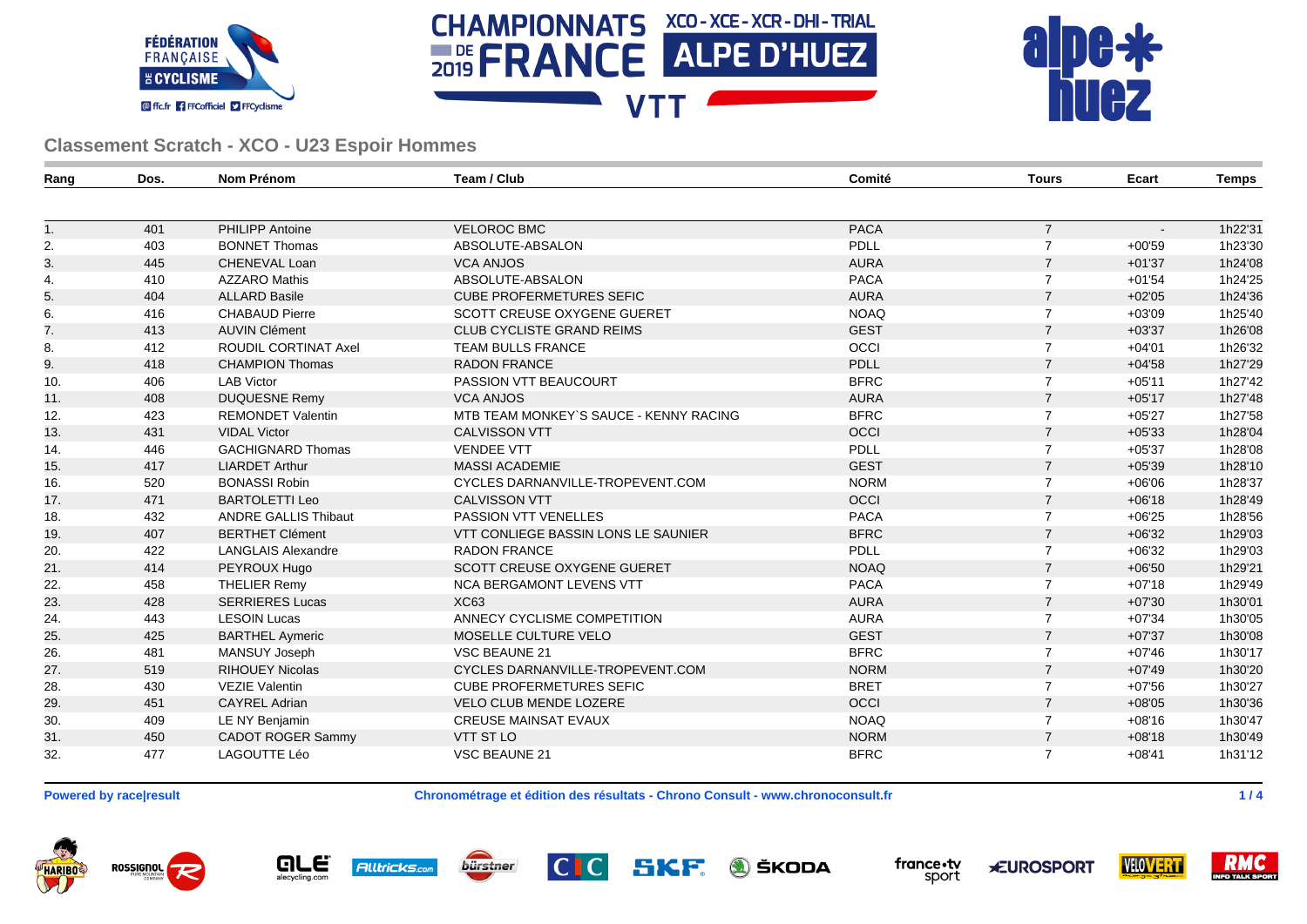





| Rang | Dos. | <b>Nom Prénom</b>           | Team / Club                                | Comité      | <b>Tours</b>   | Ecart          | <b>Temps</b> |
|------|------|-----------------------------|--------------------------------------------|-------------|----------------|----------------|--------------|
|      |      |                             |                                            |             |                |                |              |
| 1.   | 401  | PHILIPP Antoine             | <b>VELOROC BMC</b>                         | <b>PACA</b> | $\overline{7}$ | $\blacksquare$ | 1h22'31      |
| 2.   | 403  | <b>BONNET Thomas</b>        | ABSOLUTE-ABSALON                           | PDLL        | $\overline{7}$ | $+00'59$       | 1h23'30      |
| 3.   | 445  | CHENEVAL Loan               | <b>VCA ANJOS</b>                           | <b>AURA</b> | $\overline{7}$ | $+01'37$       | 1h24'08      |
| 4.   | 410  | <b>AZZARO Mathis</b>        | ABSOLUTE-ABSALON                           | <b>PACA</b> | $\overline{7}$ | $+01'54$       | 1h24'25      |
| 5.   | 404  | <b>ALLARD Basile</b>        | <b>CUBE PROFERMETURES SEFIC</b>            | <b>AURA</b> | $\overline{7}$ | $+02'05$       | 1h24'36      |
| 6.   | 416  | <b>CHABAUD Pierre</b>       | SCOTT CREUSE OXYGENE GUERET                | <b>NOAQ</b> | $\overline{7}$ | $+03'09$       | 1h25'40      |
| 7.   | 413  | <b>AUVIN Clément</b>        | <b>CLUB CYCLISTE GRAND REIMS</b>           | <b>GEST</b> | $\overline{7}$ | $+03'37$       | 1h26'08      |
| 8.   | 412  | ROUDIL CORTINAT Axel        | <b>TEAM BULLS FRANCE</b>                   | OCCI        | $\overline{7}$ | $+04'01$       | 1h26'32      |
| 9.   | 418  | <b>CHAMPION Thomas</b>      | <b>RADON FRANCE</b>                        | <b>PDLL</b> | $\overline{7}$ | $+04'58$       | 1h27'29      |
| 10.  | 406  | <b>LAB Victor</b>           | PASSION VTT BEAUCOURT                      | <b>BFRC</b> | $\overline{7}$ | $+05'11$       | 1h27'42      |
| 11.  | 408  | <b>DUQUESNE Remy</b>        | <b>VCA ANJOS</b>                           | <b>AURA</b> | $\overline{7}$ | $+05'17$       | 1h27'48      |
| 12.  | 423  | <b>REMONDET Valentin</b>    | MTB TEAM MONKEY'S SAUCE - KENNY RACING     | <b>BFRC</b> | $\overline{7}$ | $+05'27$       | 1h27'58      |
| 13.  | 431  | <b>VIDAL Victor</b>         | <b>CALVISSON VTT</b>                       | OCCI        | $\overline{7}$ | $+05'33$       | 1h28'04      |
| 14.  | 446  | <b>GACHIGNARD Thomas</b>    | <b>VENDEE VTT</b>                          | PDLL        | $\overline{7}$ | $+05'37$       | 1h28'08      |
| 15.  | 417  | <b>LIARDET Arthur</b>       | <b>MASSI ACADEMIE</b>                      | <b>GEST</b> | $\overline{7}$ | $+05'39$       | 1h28'10      |
| 16.  | 520  | <b>BONASSI Robin</b>        | CYCLES DARNANVILLE-TROPEVENT.COM           | <b>NORM</b> | $\overline{7}$ | $+06'06$       | 1h28'37      |
| 17.  | 471  | <b>BARTOLETTI Leo</b>       | <b>CALVISSON VTT</b>                       | OCCI        | $\overline{7}$ | $+06'18$       | 1h28'49      |
| 18.  | 432  | <b>ANDRE GALLIS Thibaut</b> | PASSION VTT VENELLES                       | <b>PACA</b> | $\overline{7}$ | $+06'25$       | 1h28'56      |
| 19.  | 407  | <b>BERTHET Clément</b>      | <b>VTT CONLIEGE BASSIN LONS LE SAUNIER</b> | <b>BFRC</b> | $\overline{7}$ | $+06'32$       | 1h29'03      |
| 20.  | 422  | <b>LANGLAIS Alexandre</b>   | <b>RADON FRANCE</b>                        | PDLL        | $\overline{7}$ | $+06'32$       | 1h29'03      |
| 21.  | 414  | PEYROUX Hugo                | <b>SCOTT CREUSE OXYGENE GUERET</b>         | <b>NOAQ</b> | $\overline{7}$ | $+06'50$       | 1h29'21      |
| 22.  | 458  | <b>THELIER Remy</b>         | NCA BERGAMONT LEVENS VTT                   | <b>PACA</b> | $\overline{7}$ | $+07'18$       | 1h29'49      |
| 23.  | 428  | <b>SERRIERES Lucas</b>      | <b>XC63</b>                                | <b>AURA</b> | $\overline{7}$ | $+07'30$       | 1h30'01      |
| 24.  | 443  | <b>LESOIN Lucas</b>         | ANNECY CYCLISME COMPETITION                | <b>AURA</b> | $\overline{7}$ | $+07'34$       | 1h30'05      |
| 25.  | 425  | <b>BARTHEL Aymeric</b>      | MOSELLE CULTURE VELO                       | <b>GEST</b> | $\overline{7}$ | $+07'37$       | 1h30'08      |
| 26.  | 481  | MANSUY Joseph               | <b>VSC BEAUNE 21</b>                       | <b>BFRC</b> | $\overline{7}$ | $+07'46$       | 1h30'17      |
| 27.  | 519  | <b>RIHOUEY Nicolas</b>      | CYCLES DARNANVILLE-TROPEVENT.COM           | <b>NORM</b> | $\overline{7}$ | $+07'49$       | 1h30'20      |
| 28.  | 430  | <b>VEZIE Valentin</b>       | <b>CUBE PROFERMETURES SEFIC</b>            | <b>BRET</b> | $\overline{7}$ | $+07'56$       | 1h30'27      |
| 29.  | 451  | <b>CAYREL Adrian</b>        | <b>VELO CLUB MENDE LOZERE</b>              | OCCI        | $\overline{7}$ | $+08'05$       | 1h30'36      |
| 30.  | 409  | LE NY Benjamin              | <b>CREUSE MAINSAT EVAUX</b>                | <b>NOAQ</b> | $\overline{7}$ | $+08'16$       | 1h30'47      |
| 31.  | 450  | <b>CADOT ROGER Sammy</b>    | <b>VTT ST LO</b>                           | <b>NORM</b> | $\overline{7}$ | $+08'18$       | 1h30'49      |
| 32.  | 477  | LAGOUTTE Léo                | VSC BEAUNE 21                              | <b>BFRC</b> | $\overline{7}$ | $+08'41$       | 1h31'12      |

**Powered by race|result Chronométrage et édition des résultats - Chrono Consult - www.chronoconsult.fr 1 / 4**

ROSSIGNOL **HARIBO** 





SKF **A** ŠKODA



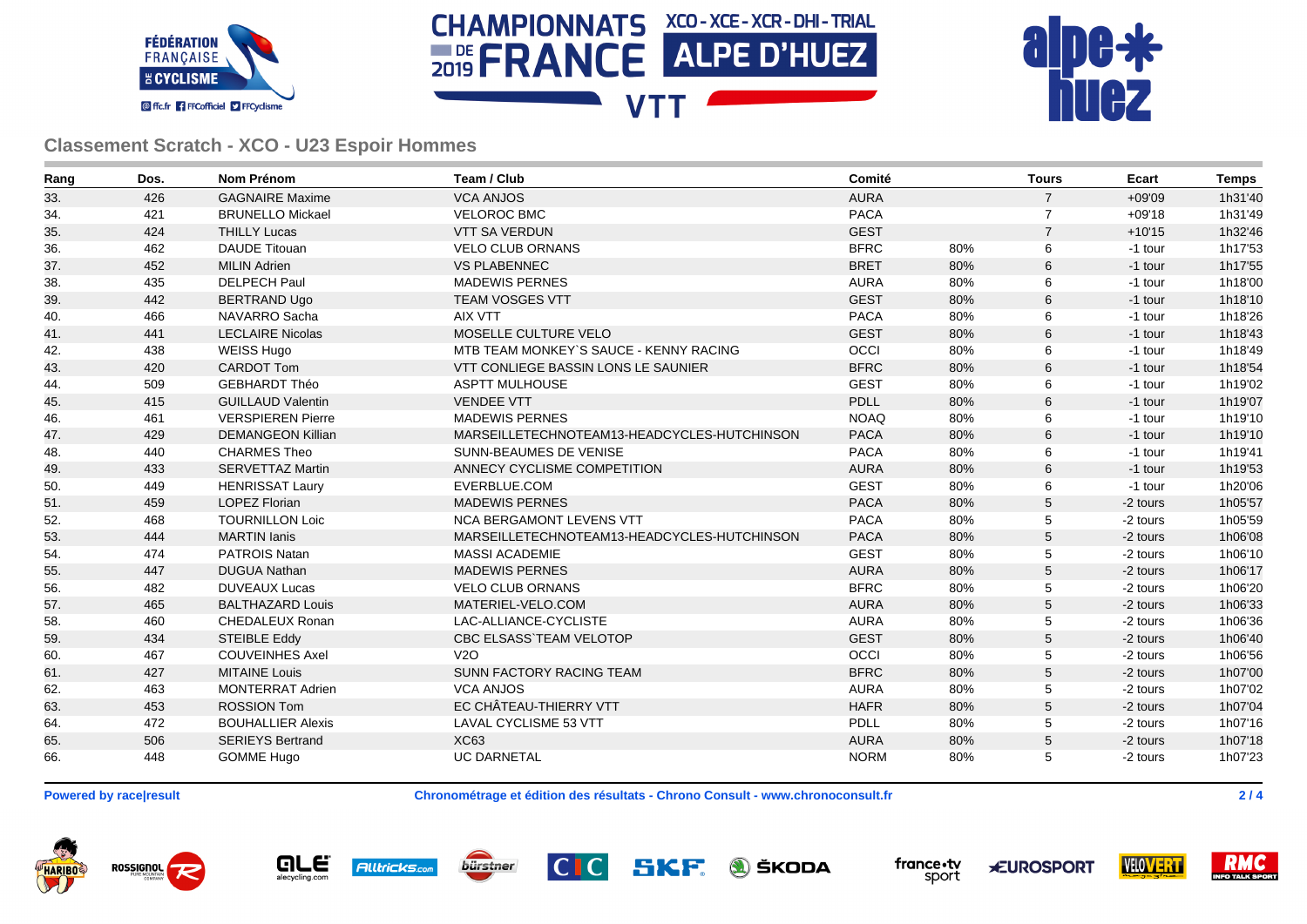





| Rang | Dos. | <b>Nom Prénom</b>        | Team / Club                                 | Comité      |     | <b>Tours</b>   | Ecart    | <b>Temps</b> |
|------|------|--------------------------|---------------------------------------------|-------------|-----|----------------|----------|--------------|
| 33.  | 426  | <b>GAGNAIRE Maxime</b>   | <b>VCA ANJOS</b>                            | <b>AURA</b> |     | $\overline{7}$ | $+09'09$ | 1h31'40      |
| 34.  | 421  | <b>BRUNELLO Mickael</b>  | <b>VELOROC BMC</b>                          | <b>PACA</b> |     | $\overline{7}$ | $+09'18$ | 1h31'49      |
| 35.  | 424  | <b>THILLY Lucas</b>      | <b>VTT SA VERDUN</b>                        | <b>GEST</b> |     | $\overline{7}$ | $+10'15$ | 1h32'46      |
| 36.  | 462  | <b>DAUDE Titouan</b>     | <b>VELO CLUB ORNANS</b>                     | <b>BFRC</b> | 80% | 6              | -1 tour  | 1h17'53      |
| 37.  | 452  | <b>MILIN Adrien</b>      | <b>VS PLABENNEC</b>                         | <b>BRET</b> | 80% | 6              | -1 tour  | 1h17'55      |
| 38.  | 435  | <b>DELPECH Paul</b>      | <b>MADEWIS PERNES</b>                       | <b>AURA</b> | 80% | 6              | -1 tour  | 1h18'00      |
| 39.  | 442  | <b>BERTRAND Ugo</b>      | <b>TEAM VOSGES VTT</b>                      | <b>GEST</b> | 80% | 6              | -1 tour  | 1h18'10      |
| 40.  | 466  | NAVARRO Sacha            | <b>AIX VTT</b>                              | <b>PACA</b> | 80% | 6              | -1 tour  | 1h18'26      |
| 41.  | 441  | <b>LECLAIRE Nicolas</b>  | MOSELLE CULTURE VELO                        | <b>GEST</b> | 80% | $\,6$          | -1 tour  | 1h18'43      |
| 42.  | 438  | <b>WEISS Hugo</b>        | MTB TEAM MONKEY'S SAUCE - KENNY RACING      | OCCI        | 80% | 6              | -1 tour  | 1h18'49      |
| 43.  | 420  | <b>CARDOT Tom</b>        | <b>VTT CONLIEGE BASSIN LONS LE SAUNIER</b>  | <b>BFRC</b> | 80% | 6              | -1 tour  | 1h18'54      |
| 44.  | 509  | <b>GEBHARDT Théo</b>     | <b>ASPTT MULHOUSE</b>                       | <b>GEST</b> | 80% | 6              | -1 tour  | 1h19'02      |
| 45.  | 415  | <b>GUILLAUD Valentin</b> | <b>VENDEE VTT</b>                           | <b>PDLL</b> | 80% | 6              | -1 tour  | 1h19'07      |
| 46.  | 461  | <b>VERSPIEREN Pierre</b> | <b>MADEWIS PERNES</b>                       | <b>NOAQ</b> | 80% | 6              | -1 tour  | 1h19'10      |
| 47.  | 429  | <b>DEMANGEON Killian</b> | MARSEILLETECHNOTEAM13-HEADCYCLES-HUTCHINSON | <b>PACA</b> | 80% | 6              | -1 tour  | 1h19'10      |
| 48.  | 440  | <b>CHARMES Theo</b>      | SUNN-BEAUMES DE VENISE                      | <b>PACA</b> | 80% | 6              | -1 tour  | 1h19'41      |
| 49.  | 433  | <b>SERVETTAZ Martin</b>  | ANNECY CYCLISME COMPETITION                 | <b>AURA</b> | 80% | 6              | -1 tour  | 1h19'53      |
| 50.  | 449  | <b>HENRISSAT Laury</b>   | EVERBLUE.COM                                | <b>GEST</b> | 80% | 6              | -1 tour  | 1h20'06      |
| 51.  | 459  | <b>LOPEZ Florian</b>     | <b>MADEWIS PERNES</b>                       | <b>PACA</b> | 80% | 5              | -2 tours | 1h05'57      |
| 52.  | 468  | <b>TOURNILLON Loic</b>   | <b>NCA BERGAMONT LEVENS VTT</b>             | <b>PACA</b> | 80% | 5              | -2 tours | 1h05'59      |
| 53.  | 444  | <b>MARTIN</b> Ianis      | MARSEILLETECHNOTEAM13-HEADCYCLES-HUTCHINSON | <b>PACA</b> | 80% | $\sqrt{5}$     | -2 tours | 1h06'08      |
| 54.  | 474  | PATROIS Natan            | <b>MASSI ACADEMIE</b>                       | <b>GEST</b> | 80% | 5              | -2 tours | 1h06'10      |
| 55.  | 447  | <b>DUGUA Nathan</b>      | <b>MADEWIS PERNES</b>                       | <b>AURA</b> | 80% | $\sqrt{5}$     | -2 tours | 1h06'17      |
| 56.  | 482  | <b>DUVEAUX Lucas</b>     | <b>VELO CLUB ORNANS</b>                     | <b>BFRC</b> | 80% | 5              | -2 tours | 1h06'20      |
| 57.  | 465  | <b>BALTHAZARD Louis</b>  | MATERIEL-VELO.COM                           | <b>AURA</b> | 80% | $\sqrt{5}$     | -2 tours | 1h06'33      |
| 58.  | 460  | CHEDALEUX Ronan          | LAC-ALLIANCE-CYCLISTE                       | <b>AURA</b> | 80% | 5              | -2 tours | 1h06'36      |
| 59.  | 434  | <b>STEIBLE Eddy</b>      | <b>CBC ELSASS TEAM VELOTOP</b>              | <b>GEST</b> | 80% | 5              | -2 tours | 1h06'40      |
| 60.  | 467  | <b>COUVEINHES Axel</b>   | V2O                                         | OCCI        | 80% | 5              | -2 tours | 1h06'56      |
| 61.  | 427  | <b>MITAINE Louis</b>     | SUNN FACTORY RACING TEAM                    | <b>BFRC</b> | 80% | 5              | -2 tours | 1h07'00      |
| 62.  | 463  | <b>MONTERRAT Adrien</b>  | <b>VCA ANJOS</b>                            | <b>AURA</b> | 80% | 5              | -2 tours | 1h07'02      |
| 63.  | 453  | <b>ROSSION Tom</b>       | EC CHÂTEAU-THIERRY VTT                      | <b>HAFR</b> | 80% | 5              | -2 tours | 1h07'04      |
| 64.  | 472  | <b>BOUHALLIER Alexis</b> | <b>LAVAL CYCLISME 53 VTT</b>                | <b>PDLL</b> | 80% | 5              | -2 tours | 1h07'16      |
| 65.  | 506  | <b>SERIEYS Bertrand</b>  | <b>XC63</b>                                 | <b>AURA</b> | 80% | $\mathbf 5$    | -2 tours | 1h07'18      |
| 66.  | 448  | <b>GOMME Hugo</b>        | <b>UC DARNETAL</b>                          | <b>NORM</b> | 80% | 5              | -2 tours | 1h07'23      |

**Powered by race|result Chronométrage et édition des résultats - Chrono Consult - www.chronoconsult.fr 2 / 4**

ROSSIGNOL **HARIBO** 







SKF **A** ŠKODA



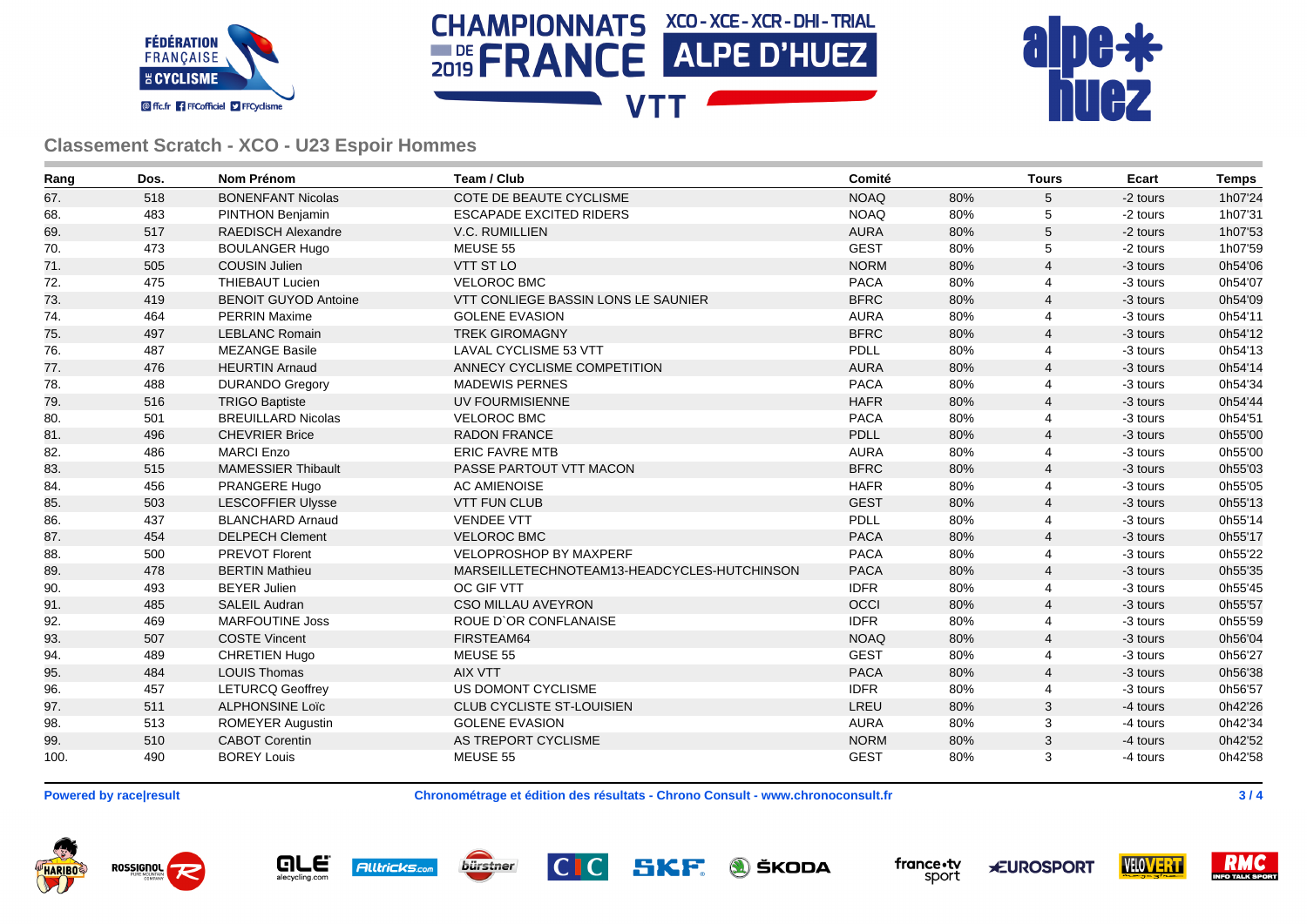





| Rang | Dos. | <b>Nom Prénom</b>           | Team / Club                                 | Comité      |     | <b>Tours</b>   | Ecart    | <b>Temps</b> |
|------|------|-----------------------------|---------------------------------------------|-------------|-----|----------------|----------|--------------|
| 67.  | 518  | <b>BONENFANT Nicolas</b>    | COTE DE BEAUTE CYCLISME                     | <b>NOAQ</b> | 80% | 5              | -2 tours | 1h07'24      |
| 68.  | 483  | PINTHON Benjamin            | <b>ESCAPADE EXCITED RIDERS</b>              | <b>NOAQ</b> | 80% | 5              | -2 tours | 1h07'31      |
| 69.  | 517  | <b>RAEDISCH Alexandre</b>   | V.C. RUMILLIEN                              | <b>AURA</b> | 80% | 5              | -2 tours | 1h07'53      |
| 70.  | 473  | <b>BOULANGER Hugo</b>       | MEUSE 55                                    | <b>GEST</b> | 80% | 5              | -2 tours | 1h07'59      |
| 71.  | 505  | <b>COUSIN Julien</b>        | VTT ST LO                                   | <b>NORM</b> | 80% | $\overline{4}$ | -3 tours | 0h54'06      |
| 72.  | 475  | <b>THIEBAUT Lucien</b>      | <b>VELOROC BMC</b>                          | <b>PACA</b> | 80% | 4              | -3 tours | 0h54'07      |
| 73.  | 419  | <b>BENOIT GUYOD Antoine</b> | <b>VTT CONLIEGE BASSIN LONS LE SAUNIER</b>  | <b>BFRC</b> | 80% | $\overline{4}$ | -3 tours | 0h54'09      |
| 74.  | 464  | <b>PERRIN Maxime</b>        | <b>GOLENE EVASION</b>                       | <b>AURA</b> | 80% | 4              | -3 tours | 0h54'11      |
| 75.  | 497  | <b>LEBLANC Romain</b>       | <b>TREK GIROMAGNY</b>                       | <b>BFRC</b> | 80% | $\overline{4}$ | -3 tours | 0h54'12      |
| 76.  | 487  | <b>MEZANGE Basile</b>       | <b>LAVAL CYCLISME 53 VTT</b>                | <b>PDLL</b> | 80% | 4              | -3 tours | 0h54'13      |
| 77.  | 476  | <b>HEURTIN Arnaud</b>       | ANNECY CYCLISME COMPETITION                 | <b>AURA</b> | 80% | $\overline{4}$ | -3 tours | 0h54'14      |
| 78.  | 488  | <b>DURANDO Gregory</b>      | <b>MADEWIS PERNES</b>                       | <b>PACA</b> | 80% | 4              | -3 tours | 0h54'34      |
| 79.  | 516  | <b>TRIGO Baptiste</b>       | <b>UV FOURMISIENNE</b>                      | <b>HAFR</b> | 80% | $\overline{4}$ | -3 tours | 0h54'44      |
| 80.  | 501  | <b>BREUILLARD Nicolas</b>   | <b>VELOROC BMC</b>                          | <b>PACA</b> | 80% | 4              | -3 tours | 0h54'51      |
| 81.  | 496  | <b>CHEVRIER Brice</b>       | <b>RADON FRANCE</b>                         | <b>PDLL</b> | 80% | $\overline{4}$ | -3 tours | 0h55'00      |
| 82.  | 486  | <b>MARCI Enzo</b>           | <b>ERIC FAVRE MTB</b>                       | <b>AURA</b> | 80% | 4              | -3 tours | 0h55'00      |
| 83.  | 515  | <b>MAMESSIER Thibault</b>   | PASSE PARTOUT VTT MACON                     | <b>BFRC</b> | 80% | $\overline{4}$ | -3 tours | 0h55'03      |
| 84.  | 456  | PRANGERE Hugo               | <b>AC AMIENOISE</b>                         | <b>HAFR</b> | 80% | 4              | -3 tours | 0h55'05      |
| 85.  | 503  | <b>LESCOFFIER Ulysse</b>    | <b>VTT FUN CLUB</b>                         | <b>GEST</b> | 80% | $\overline{4}$ | -3 tours | 0h55'13      |
| 86.  | 437  | <b>BLANCHARD Arnaud</b>     | <b>VENDEE VTT</b>                           | PDLL        | 80% | 4              | -3 tours | 0h55'14      |
| 87.  | 454  | <b>DELPECH Clement</b>      | <b>VELOROC BMC</b>                          | <b>PACA</b> | 80% | $\overline{4}$ | -3 tours | 0h55'17      |
| 88.  | 500  | <b>PREVOT Florent</b>       | <b>VELOPROSHOP BY MAXPERF</b>               | <b>PACA</b> | 80% | 4              | -3 tours | 0h55'22      |
| 89.  | 478  | <b>BERTIN Mathieu</b>       | MARSEILLETECHNOTEAM13-HEADCYCLES-HUTCHINSON | <b>PACA</b> | 80% | 4              | -3 tours | 0h55'35      |
| 90.  | 493  | <b>BEYER Julien</b>         | OC GIF VTT                                  | <b>IDFR</b> | 80% | 4              | -3 tours | 0h55'45      |
| 91.  | 485  | <b>SALEIL Audran</b>        | <b>CSO MILLAU AVEYRON</b>                   | OCCI        | 80% | 4              | -3 tours | 0h55'57      |
| 92.  | 469  | <b>MARFOUTINE Joss</b>      | ROUE D'OR CONFLANAISE                       | <b>IDFR</b> | 80% | 4              | -3 tours | 0h55'59      |
| 93.  | 507  | <b>COSTE Vincent</b>        | FIRSTEAM64                                  | <b>NOAQ</b> | 80% | $\overline{4}$ | -3 tours | 0h56'04      |
| 94.  | 489  | <b>CHRETIEN Hugo</b>        | MEUSE 55                                    | <b>GEST</b> | 80% | 4              | -3 tours | 0h56'27      |
| 95.  | 484  | <b>LOUIS Thomas</b>         | <b>AIX VTT</b>                              | <b>PACA</b> | 80% | $\overline{4}$ | -3 tours | 0h56'38      |
| 96.  | 457  | <b>LETURCQ Geoffrey</b>     | US DOMONT CYCLISME                          | <b>IDFR</b> | 80% | 4              | -3 tours | 0h56'57      |
| 97.  | 511  | <b>ALPHONSINE Loïc</b>      | CLUB CYCLISTE ST-LOUISIEN                   | LREU        | 80% | 3              | -4 tours | 0h42'26      |
| 98.  | 513  | <b>ROMEYER Augustin</b>     | <b>GOLENE EVASION</b>                       | <b>AURA</b> | 80% | 3              | -4 tours | 0h42'34      |
| 99.  | 510  | <b>CABOT Corentin</b>       | AS TREPORT CYCLISME                         | <b>NORM</b> | 80% | 3              | -4 tours | 0h42'52      |
| 100. | 490  | <b>BOREY Louis</b>          | MEUSE 55                                    | <b>GEST</b> | 80% | 3              | -4 tours | 0h42'58      |

**Powered by race|result Chronométrage et édition des résultats - Chrono Consult - www.chronoconsult.fr 3 / 4**

ROSSIGNOL **HARIBO** 





SKF **A** ŠKODA